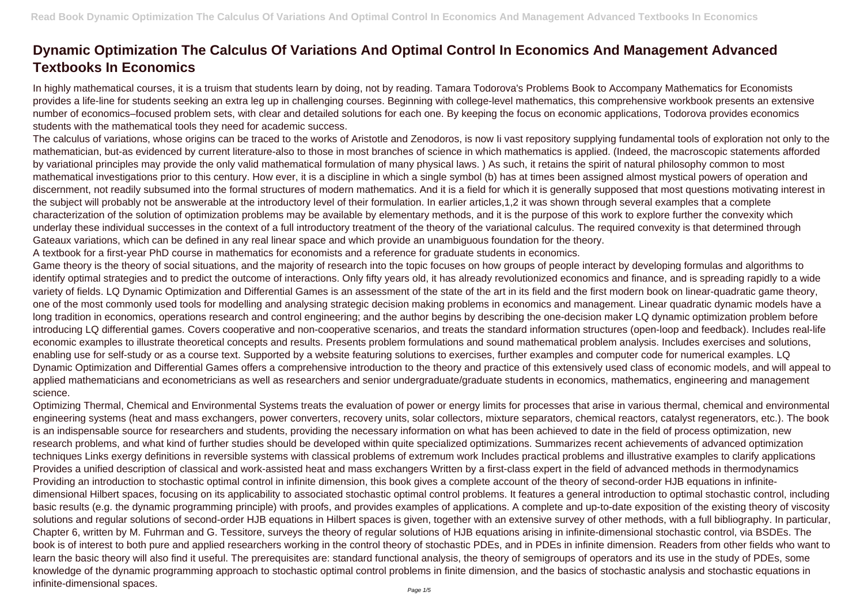## **Dynamic Optimization The Calculus Of Variations And Optimal Control In Economics And Management Advanced Textbooks In Economics**

In highly mathematical courses, it is a truism that students learn by doing, not by reading. Tamara Todorova's Problems Book to Accompany Mathematics for Economists provides a life-line for students seeking an extra leg up in challenging courses. Beginning with college-level mathematics, this comprehensive workbook presents an extensive number of economics–focused problem sets, with clear and detailed solutions for each one. By keeping the focus on economic applications, Todorova provides economics students with the mathematical tools they need for academic success.

The calculus of variations, whose origins can be traced to the works of Aristotle and Zenodoros, is now Ii vast repository supplying fundamental tools of exploration not only to the mathematician, but-as evidenced by current literature-also to those in most branches of science in which mathematics is applied. (Indeed, the macroscopic statements afforded by variational principles may provide the only valid mathematical formulation of many physical laws. ) As such, it retains the spirit of natural philosophy common to most mathematical investigations prior to this century. How ever, it is a discipline in which a single symbol (b) has at times been assigned almost mystical powers of operation and discernment, not readily subsumed into the formal structures of modern mathematics. And it is a field for which it is generally supposed that most questions motivating interest in the subject will probably not be answerable at the introductory level of their formulation. In earlier articles,1,2 it was shown through several examples that a complete characterization of the solution of optimization problems may be available by elementary methods, and it is the purpose of this work to explore further the convexity which underlay these individual successes in the context of a full introductory treatment of the theory of the variational calculus. The required convexity is that determined through Gateaux variations, which can be defined in any real linear space and which provide an unambiguous foundation for the theory.

A textbook for a first-year PhD course in mathematics for economists and a reference for graduate students in economics.

Game theory is the theory of social situations, and the majority of research into the topic focuses on how groups of people interact by developing formulas and algorithms to identify optimal strategies and to predict the outcome of interactions. Only fifty years old, it has already revolutionized economics and finance, and is spreading rapidly to a wide variety of fields. LQ Dynamic Optimization and Differential Games is an assessment of the state of the art in its field and the first modern book on linear-quadratic game theory, one of the most commonly used tools for modelling and analysing strategic decision making problems in economics and management. Linear quadratic dynamic models have a long tradition in economics, operations research and control engineering; and the author begins by describing the one-decision maker LQ dynamic optimization problem before introducing LQ differential games. Covers cooperative and non-cooperative scenarios, and treats the standard information structures (open-loop and feedback). Includes real-life economic examples to illustrate theoretical concepts and results. Presents problem formulations and sound mathematical problem analysis. Includes exercises and solutions, enabling use for self-study or as a course text. Supported by a website featuring solutions to exercises, further examples and computer code for numerical examples. LQ Dynamic Optimization and Differential Games offers a comprehensive introduction to the theory and practice of this extensively used class of economic models, and will appeal to applied mathematicians and econometricians as well as researchers and senior undergraduate/graduate students in economics, mathematics, engineering and management science.

Optimizing Thermal, Chemical and Environmental Systems treats the evaluation of power or energy limits for processes that arise in various thermal, chemical and environmental engineering systems (heat and mass exchangers, power converters, recovery units, solar collectors, mixture separators, chemical reactors, catalyst regenerators, etc.). The book is an indispensable source for researchers and students, providing the necessary information on what has been achieved to date in the field of process optimization, new research problems, and what kind of further studies should be developed within quite specialized optimizations. Summarizes recent achievements of advanced optimization techniques Links exergy definitions in reversible systems with classical problems of extremum work Includes practical problems and illustrative examples to clarify applications Provides a unified description of classical and work-assisted heat and mass exchangers Written by a first-class expert in the field of advanced methods in thermodynamics Providing an introduction to stochastic optimal control in infinite dimension, this book gives a complete account of the theory of second-order HJB equations in infinitedimensional Hilbert spaces, focusing on its applicability to associated stochastic optimal control problems. It features a general introduction to optimal stochastic control, including basic results (e.g. the dynamic programming principle) with proofs, and provides examples of applications. A complete and up-to-date exposition of the existing theory of viscosity solutions and regular solutions of second-order HJB equations in Hilbert spaces is given, together with an extensive survey of other methods, with a full bibliography. In particular, Chapter 6, written by M. Fuhrman and G. Tessitore, surveys the theory of regular solutions of HJB equations arising in infinite-dimensional stochastic control, via BSDEs. The book is of interest to both pure and applied researchers working in the control theory of stochastic PDEs, and in PDEs in infinite dimension. Readers from other fields who want to learn the basic theory will also find it useful. The prerequisites are: standard functional analysis, the theory of semigroups of operators and its use in the study of PDEs, some knowledge of the dynamic programming approach to stochastic optimal control problems in finite dimension, and the basics of stochastic analysis and stochastic equations in infinite-dimensional spaces.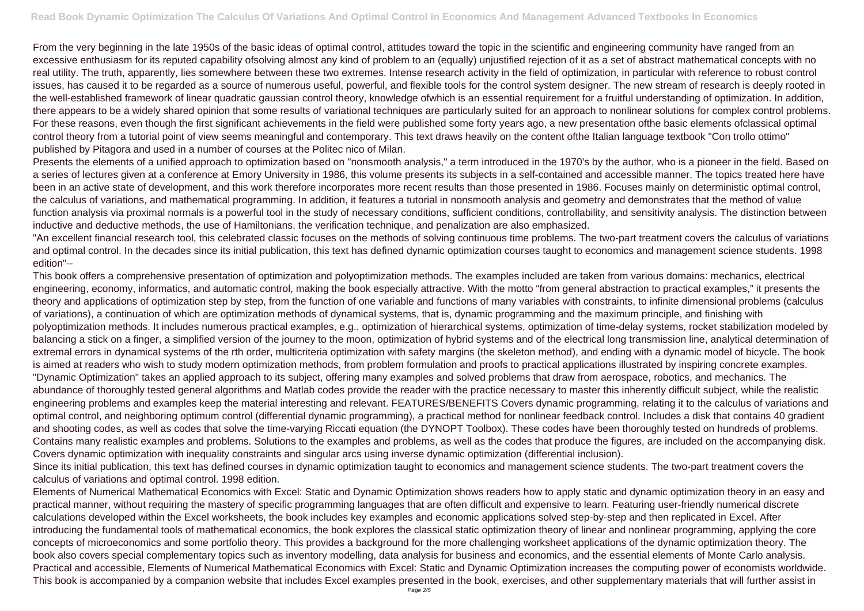From the very beginning in the late 1950s of the basic ideas of optimal control, attitudes toward the topic in the scientific and engineering community have ranged from an excessive enthusiasm for its reputed capability ofsolving almost any kind of problem to an (equally) unjustified rejection of it as a set of abstract mathematical concepts with no real utility. The truth, apparently, lies somewhere between these two extremes. Intense research activity in the field of optimization, in particular with reference to robust control issues, has caused it to be regarded as a source of numerous useful, powerful, and flexible tools for the control system designer. The new stream of research is deeply rooted in the well-established framework of linear quadratic gaussian control theory, knowledge ofwhich is an essential requirement for a fruitful understanding of optimization. In addition, there appears to be a widely shared opinion that some results of variational techniques are particularly suited for an approach to nonlinear solutions for complex control problems. For these reasons, even though the first significant achievements in the field were published some forty years ago, a new presentation ofthe basic elements ofclassical optimal control theory from a tutorial point of view seems meaningful and contemporary. This text draws heavily on the content ofthe Italian language textbook "Con trollo ottimo" published by Pitagora and used in a number of courses at the Politec nico of Milan.

This book offers a comprehensive presentation of optimization and polyoptimization methods. The examples included are taken from various domains: mechanics, electrical engineering, economy, informatics, and automatic control, making the book especially attractive. With the motto "from general abstraction to practical examples," it presents the theory and applications of optimization step by step, from the function of one variable and functions of many variables with constraints, to infinite dimensional problems (calculus of variations), a continuation of which are optimization methods of dynamical systems, that is, dynamic programming and the maximum principle, and finishing with polyoptimization methods. It includes numerous practical examples, e.g., optimization of hierarchical systems, optimization of time-delay systems, rocket stabilization modeled by balancing a stick on a finger, a simplified version of the journey to the moon, optimization of hybrid systems and of the electrical long transmission line, analytical determination of extremal errors in dynamical systems of the rth order, multicriteria optimization with safety margins (the skeleton method), and ending with a dynamic model of bicycle. The book is aimed at readers who wish to study modern optimization methods, from problem formulation and proofs to practical applications illustrated by inspiring concrete examples. "Dynamic Optimization" takes an applied approach to its subject, offering many examples and solved problems that draw from aerospace, robotics, and mechanics. The abundance of thoroughly tested general algorithms and Matlab codes provide the reader with the practice necessary to master this inherently difficult subject, while the realistic engineering problems and examples keep the material interesting and relevant. FEATURES/BENEFITS Covers dynamic programming, relating it to the calculus of variations and optimal control, and neighboring optimum control (differential dynamic programming), a practical method for nonlinear feedback control. Includes a disk that contains 40 gradient and shooting codes, as well as codes that solve the time-varying Riccati equation (the DYNOPT Toolbox). These codes have been thoroughly tested on hundreds of problems. Contains many realistic examples and problems. Solutions to the examples and problems, as well as the codes that produce the figures, are included on the accompanying disk. Covers dynamic optimization with inequality constraints and singular arcs using inverse dynamic optimization (differential inclusion). Since its initial publication, this text has defined courses in dynamic optimization taught to economics and management science students. The two-part treatment covers the

Presents the elements of a unified approach to optimization based on "nonsmooth analysis," a term introduced in the 1970's by the author, who is a pioneer in the field. Based on a series of lectures given at a conference at Emory University in 1986, this volume presents its subjects in a self-contained and accessible manner. The topics treated here have been in an active state of development, and this work therefore incorporates more recent results than those presented in 1986. Focuses mainly on deterministic optimal control, the calculus of variations, and mathematical programming. In addition, it features a tutorial in nonsmooth analysis and geometry and demonstrates that the method of value function analysis via proximal normals is a powerful tool in the study of necessary conditions, sufficient conditions, controllability, and sensitivity analysis. The distinction between inductive and deductive methods, the use of Hamiltonians, the verification technique, and penalization are also emphasized.

"An excellent financial research tool, this celebrated classic focuses on the methods of solving continuous time problems. The two-part treatment covers the calculus of variations and optimal control. In the decades since its initial publication, this text has defined dynamic optimization courses taught to economics and management science students. 1998 edition"--

calculus of variations and optimal control. 1998 edition.

Elements of Numerical Mathematical Economics with Excel: Static and Dynamic Optimization shows readers how to apply static and dynamic optimization theory in an easy and practical manner, without requiring the mastery of specific programming languages that are often difficult and expensive to learn. Featuring user-friendly numerical discrete calculations developed within the Excel worksheets, the book includes key examples and economic applications solved step-by-step and then replicated in Excel. After introducing the fundamental tools of mathematical economics, the book explores the classical static optimization theory of linear and nonlinear programming, applying the core concepts of microeconomics and some portfolio theory. This provides a background for the more challenging worksheet applications of the dynamic optimization theory. The book also covers special complementary topics such as inventory modelling, data analysis for business and economics, and the essential elements of Monte Carlo analysis. Practical and accessible, Elements of Numerical Mathematical Economics with Excel: Static and Dynamic Optimization increases the computing power of economists worldwide. This book is accompanied by a companion website that includes Excel examples presented in the book, exercises, and other supplementary materials that will further assist in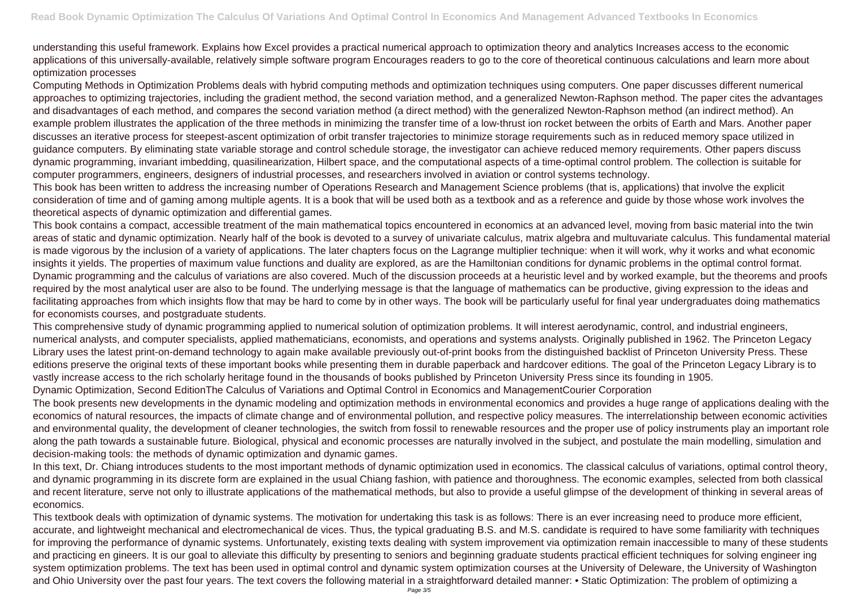understanding this useful framework. Explains how Excel provides a practical numerical approach to optimization theory and analytics Increases access to the economic applications of this universally-available, relatively simple software program Encourages readers to go to the core of theoretical continuous calculations and learn more about optimization processes

Computing Methods in Optimization Problems deals with hybrid computing methods and optimization techniques using computers. One paper discusses different numerical approaches to optimizing trajectories, including the gradient method, the second variation method, and a generalized Newton-Raphson method. The paper cites the advantages and disadvantages of each method, and compares the second variation method (a direct method) with the generalized Newton-Raphson method (an indirect method). An example problem illustrates the application of the three methods in minimizing the transfer time of a low-thrust ion rocket between the orbits of Earth and Mars. Another paper discusses an iterative process for steepest-ascent optimization of orbit transfer trajectories to minimize storage requirements such as in reduced memory space utilized in guidance computers. By eliminating state variable storage and control schedule storage, the investigator can achieve reduced memory requirements. Other papers discuss dynamic programming, invariant imbedding, quasilinearization, Hilbert space, and the computational aspects of a time-optimal control problem. The collection is suitable for computer programmers, engineers, designers of industrial processes, and researchers involved in aviation or control systems technology. This book has been written to address the increasing number of Operations Research and Management Science problems (that is, applications) that involve the explicit consideration of time and of gaming among multiple agents. It is a book that will be used both as a textbook and as a reference and guide by those whose work involves the theoretical aspects of dynamic optimization and differential games.

This book contains a compact, accessible treatment of the main mathematical topics encountered in economics at an advanced level, moving from basic material into the twin areas of static and dynamic optimization. Nearly half of the book is devoted to a survey of univariate calculus, matrix algebra and multuvariate calculus. This fundamental material is made vigorous by the inclusion of a variety of applications. The later chapters focus on the Lagrange multiplier technique: when it will work, why it works and what economic insights it yields. The properties of maximum value functions and duality are explored, as are the Hamiltonian conditions for dynamic problems in the optimal control format. Dynamic programming and the calculus of variations are also covered. Much of the discussion proceeds at a heuristic level and by worked example, but the theorems and proofs required by the most analytical user are also to be found. The underlying message is that the language of mathematics can be productive, giving expression to the ideas and facilitating approaches from which insights flow that may be hard to come by in other ways. The book will be particularly useful for final year undergraduates doing mathematics for economists courses, and postgraduate students.

In this text, Dr. Chiang introduces students to the most important methods of dynamic optimization used in economics. The classical calculus of variations, optimal control theory, and dynamic programming in its discrete form are explained in the usual Chiang fashion, with patience and thoroughness. The economic examples, selected from both classical and recent literature, serve not only to illustrate applications of the mathematical methods, but also to provide a useful glimpse of the development of thinking in several areas of economics.

This comprehensive study of dynamic programming applied to numerical solution of optimization problems. It will interest aerodynamic, control, and industrial engineers, numerical analysts, and computer specialists, applied mathematicians, economists, and operations and systems analysts. Originally published in 1962. The Princeton Legacy Library uses the latest print-on-demand technology to again make available previously out-of-print books from the distinguished backlist of Princeton University Press. These editions preserve the original texts of these important books while presenting them in durable paperback and hardcover editions. The goal of the Princeton Legacy Library is to vastly increase access to the rich scholarly heritage found in the thousands of books published by Princeton University Press since its founding in 1905. Dynamic Optimization, Second EditionThe Calculus of Variations and Optimal Control in Economics and ManagementCourier Corporation The book presents new developments in the dynamic modeling and optimization methods in environmental economics and provides a huge range of applications dealing with the economics of natural resources, the impacts of climate change and of environmental pollution, and respective policy measures. The interrelationship between economic activities and environmental quality, the development of cleaner technologies, the switch from fossil to renewable resources and the proper use of policy instruments play an important role along the path towards a sustainable future. Biological, physical and economic processes are naturally involved in the subject, and postulate the main modelling, simulation and decision-making tools: the methods of dynamic optimization and dynamic games.

This textbook deals with optimization of dynamic systems. The motivation for undertaking this task is as follows: There is an ever increasing need to produce more efficient, accurate, and lightweight mechanical and electromechanical de vices. Thus, the typical graduating B.S. and M.S. candidate is required to have some familiarity with techniques for improving the performance of dynamic systems. Unfortunately, existing texts dealing with system improvement via optimization remain inaccessible to many of these students and practicing en gineers. It is our goal to alleviate this difficulty by presenting to seniors and beginning graduate students practical efficient techniques for solving engineer ing system optimization problems. The text has been used in optimal control and dynamic system optimization courses at the University of Deleware, the University of Washington and Ohio University over the past four years. The text covers the following material in a straightforward detailed manner: • Static Optimization: The problem of optimizing a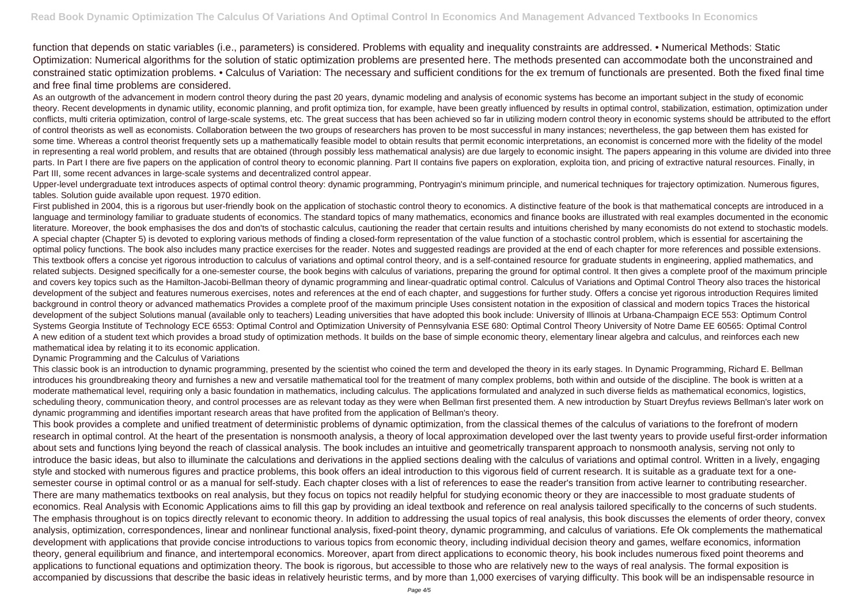function that depends on static variables (i.e., parameters) is considered. Problems with equality and inequality constraints are addressed. • Numerical Methods: Static Optimization: Numerical algorithms for the solution of static optimization problems are presented here. The methods presented can accommodate both the unconstrained and constrained static optimization problems. • Calculus of Variation: The necessary and sufficient conditions for the ex tremum of functionals are presented. Both the fixed final time and free final time problems are considered.

As an outgrowth of the advancement in modern control theory during the past 20 years, dynamic modeling and analysis of economic systems has become an important subject in the study of economic theory. Recent developments in dynamic utility, economic planning, and profit optimiza tion, for example, have been greatly influenced by results in optimal control, stabilization, estimation, optimization under conflicts, multi criteria optimization, control of large-scale systems, etc. The great success that has been achieved so far in utilizing modern control theory in economic systems should be attributed to the effort of control theorists as well as economists. Collaboration between the two groups of researchers has proven to be most successful in many instances; nevertheless, the gap between them has existed for some time. Whereas a control theorist frequently sets up a mathematically feasible model to obtain results that permit economic interpretations, an economist is concerned more with the fidelity of the model in representing a real world problem, and results that are obtained (through possibly less mathematical analysis) are due largely to economic insight. The papers appearing in this volume are divided into three parts. In Part I there are five papers on the application of control theory to economic planning. Part II contains five papers on exploration, exploita tion, and pricing of extractive natural resources. Finally, in Part III, some recent advances in large-scale systems and decentralized control appear.

Upper-level undergraduate text introduces aspects of optimal control theory: dynamic programming, Pontryagin's minimum principle, and numerical techniques for trajectory optimization. Numerous figures, tables. Solution guide available upon request. 1970 edition.

First published in 2004, this is a rigorous but user-friendly book on the application of stochastic control theory to economics. A distinctive feature of the book is that mathematical concepts are introduced in a language and terminology familiar to graduate students of economics. The standard topics of many mathematics, economics and finance books are illustrated with real examples documented in the economic literature. Moreover, the book emphasises the dos and don'ts of stochastic calculus, cautioning the reader that certain results and intuitions cherished by many economists do not extend to stochastic models. A special chapter (Chapter 5) is devoted to exploring various methods of finding a closed-form representation of the value function of a stochastic control problem, which is essential for ascertaining the optimal policy functions. The book also includes many practice exercises for the reader. Notes and suggested readings are provided at the end of each chapter for more references and possible extensions. This textbook offers a concise yet rigorous introduction to calculus of variations and optimal control theory, and is a self-contained resource for graduate students in engineering, applied mathematics, and related subjects. Designed specifically for a one-semester course, the book begins with calculus of variations, preparing the ground for optimal control. It then gives a complete proof of the maximum principle and covers key topics such as the Hamilton-Jacobi-Bellman theory of dynamic programming and linear-quadratic optimal control. Calculus of Variations and Optimal Control Theory also traces the historical development of the subject and features numerous exercises, notes and references at the end of each chapter, and suggestions for further study. Offers a concise yet rigorous introduction Requires limited background in control theory or advanced mathematics Provides a complete proof of the maximum principle Uses consistent notation in the exposition of classical and modern topics Traces the historical development of the subject Solutions manual (available only to teachers) Leading universities that have adopted this book include: University of Illinois at Urbana-Champaign ECE 553: Optimum Control Systems Georgia Institute of Technology ECE 6553: Optimal Control and Optimization University of Pennsylvania ESE 680: Optimal Control Theory University of Notre Dame EE 60565: Optimal Control A new edition of a student text which provides a broad study of optimization methods. It builds on the base of simple economic theory, elementary linear algebra and calculus, and reinforces each new mathematical idea by relating it to its economic application.

## Dynamic Programming and the Calculus of Variations

This classic book is an introduction to dynamic programming, presented by the scientist who coined the term and developed the theory in its early stages. In Dynamic Programming, Richard E. Bellman introduces his groundbreaking theory and furnishes a new and versatile mathematical tool for the treatment of many complex problems, both within and outside of the discipline. The book is written at a moderate mathematical level, requiring only a basic foundation in mathematics, including calculus. The applications formulated and analyzed in such diverse fields as mathematical economics, logistics, scheduling theory, communication theory, and control processes are as relevant today as they were when Bellman first presented them. A new introduction by Stuart Dreyfus reviews Bellman's later work on dynamic programming and identifies important research areas that have profited from the application of Bellman's theory.

This book provides a complete and unified treatment of deterministic problems of dynamic optimization, from the classical themes of the calculus of variations to the forefront of modern research in optimal control. At the heart of the presentation is nonsmooth analysis, a theory of local approximation developed over the last twenty years to provide useful first-order information about sets and functions lying beyond the reach of classical analysis. The book includes an intuitive and geometrically transparent approach to nonsmooth analysis, serving not only to introduce the basic ideas, but also to illuminate the calculations and derivations in the applied sections dealing with the calculus of variations and optimal control. Written in a lively, engaging style and stocked with numerous figures and practice problems, this book offers an ideal introduction to this vigorous field of current research. It is suitable as a graduate text for a onesemester course in optimal control or as a manual for self-study. Each chapter closes with a list of references to ease the reader's transition from active learner to contributing researcher. There are many mathematics textbooks on real analysis, but they focus on topics not readily helpful for studying economic theory or they are inaccessible to most graduate students of economics. Real Analysis with Economic Applications aims to fill this gap by providing an ideal textbook and reference on real analysis tailored specifically to the concerns of such students. The emphasis throughout is on topics directly relevant to economic theory. In addition to addressing the usual topics of real analysis, this book discusses the elements of order theory, convex analysis, optimization, correspondences, linear and nonlinear functional analysis, fixed-point theory, dynamic programming, and calculus of variations. Efe Ok complements the mathematical development with applications that provide concise introductions to various topics from economic theory, including individual decision theory and games, welfare economics, information theory, general equilibrium and finance, and intertemporal economics. Moreover, apart from direct applications to economic theory, his book includes numerous fixed point theorems and applications to functional equations and optimization theory. The book is rigorous, but accessible to those who are relatively new to the ways of real analysis. The formal exposition is accompanied by discussions that describe the basic ideas in relatively heuristic terms, and by more than 1,000 exercises of varying difficulty. This book will be an indispensable resource in